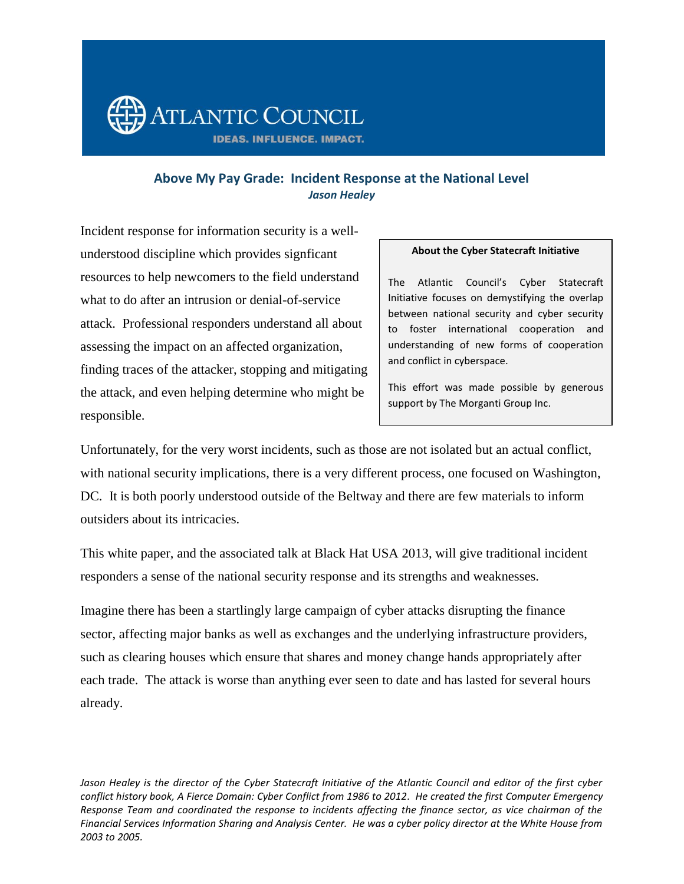

# **Above My Pay Grade: Incident Response at the National Level** *Jason Healey*

Incident response for information security is a wellunderstood discipline which provides signficant resources to help newcomers to the field understand what to do after an intrusion or denial-of-service attack. Professional responders understand all about assessing the impact on an affected organization, finding traces of the attacker, stopping and mitigating the attack, and even helping determine who might be responsible.

#### **About the Cyber Statecraft Initiative**

The Atlantic Council's Cyber Statecraft Initiative focuses on demystifying the overlap between national security and cyber security to foster international cooperation and understanding of new forms of cooperation and conflict in cyberspace.

This effort was made possible by generous support by The Morganti Group Inc.

Unfortunately, for the very worst incidents, such as those are not isolated but an actual conflict, with national security implications, there is a very different process, one focused on Washington, DC. It is both poorly understood outside of the Beltway and there are few materials to inform outsiders about its intricacies.

This white paper, and the associated talk at Black Hat USA 2013, will give traditional incident responders a sense of the national security response and its strengths and weaknesses.

Imagine there has been a startlingly large campaign of cyber attacks disrupting the finance sector, affecting major banks as well as exchanges and the underlying infrastructure providers, such as clearing houses which ensure that shares and money change hands appropriately after each trade. The attack is worse than anything ever seen to date and has lasted for several hours already.

Jason Healey is the director of the Cyber Statecraft Initiative of the Atlantic Council and editor of the first cyber *conflict history book, A Fierce Domain: Cyber Conflict from 1986 to 2012. He created the first Computer Emergency Response Team and coordinated the response to incidents affecting the finance sector, as vice chairman of the Financial Services Information Sharing and Analysis Center. He was a cyber policy director at the White House from 2003 to 2005.*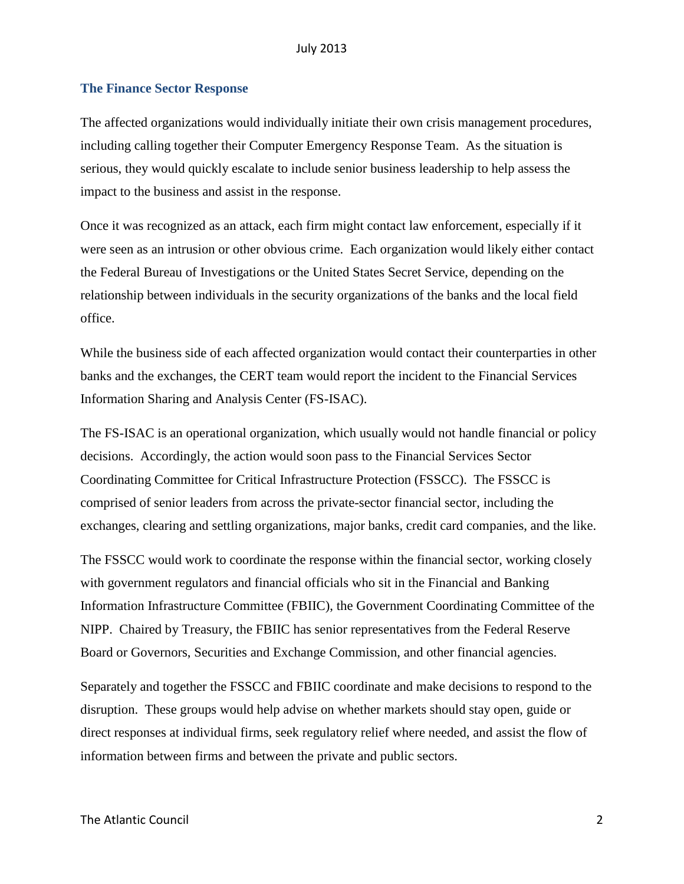#### July 2013

#### **The Finance Sector Response**

The affected organizations would individually initiate their own crisis management procedures, including calling together their Computer Emergency Response Team. As the situation is serious, they would quickly escalate to include senior business leadership to help assess the impact to the business and assist in the response.

Once it was recognized as an attack, each firm might contact law enforcement, especially if it were seen as an intrusion or other obvious crime. Each organization would likely either contact the Federal Bureau of Investigations or the United States Secret Service, depending on the relationship between individuals in the security organizations of the banks and the local field office.

While the business side of each affected organization would contact their counterparties in other banks and the exchanges, the CERT team would report the incident to the Financial Services Information Sharing and Analysis Center (FS-ISAC).

The FS-ISAC is an operational organization, which usually would not handle financial or policy decisions. Accordingly, the action would soon pass to the Financial Services Sector Coordinating Committee for Critical Infrastructure Protection (FSSCC). The FSSCC is comprised of senior leaders from across the private-sector financial sector, including the exchanges, clearing and settling organizations, major banks, credit card companies, and the like.

The FSSCC would work to coordinate the response within the financial sector, working closely with government regulators and financial officials who sit in the Financial and Banking Information Infrastructure Committee (FBIIC), the Government Coordinating Committee of the NIPP. Chaired by Treasury, the FBIIC has senior representatives from the Federal Reserve Board or Governors, Securities and Exchange Commission, and other financial agencies.

Separately and together the FSSCC and FBIIC coordinate and make decisions to respond to the disruption. These groups would help advise on whether markets should stay open, guide or direct responses at individual firms, seek regulatory relief where needed, and assist the flow of information between firms and between the private and public sectors.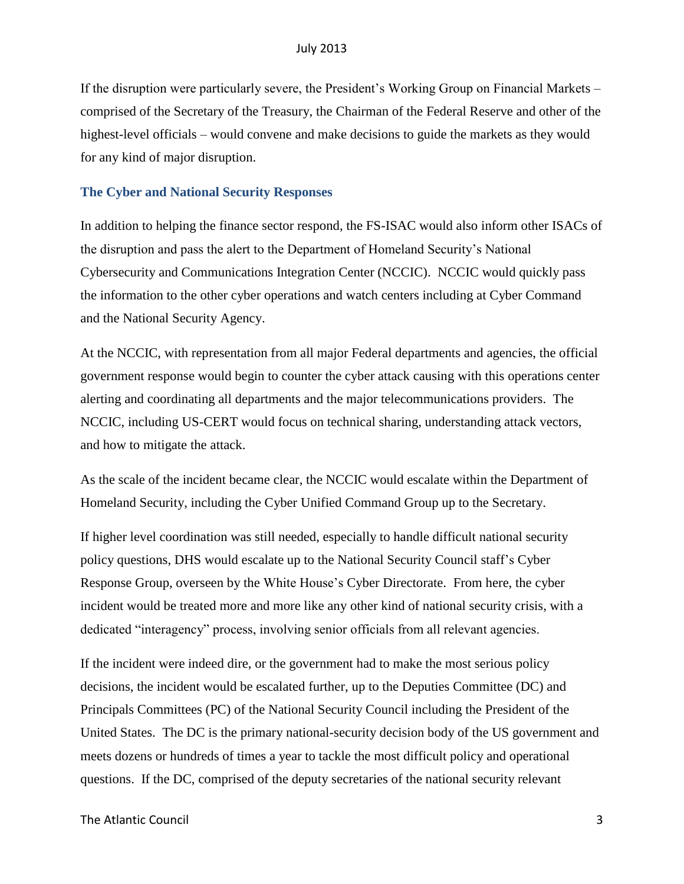If the disruption were particularly severe, the President's Working Group on Financial Markets – comprised of the Secretary of the Treasury, the Chairman of the Federal Reserve and other of the highest-level officials – would convene and make decisions to guide the markets as they would for any kind of major disruption.

### **The Cyber and National Security Responses**

In addition to helping the finance sector respond, the FS-ISAC would also inform other ISACs of the disruption and pass the alert to the Department of Homeland Security's National Cybersecurity and Communications Integration Center (NCCIC). NCCIC would quickly pass the information to the other cyber operations and watch centers including at Cyber Command and the National Security Agency.

At the NCCIC, with representation from all major Federal departments and agencies, the official government response would begin to counter the cyber attack causing with this operations center alerting and coordinating all departments and the major telecommunications providers. The NCCIC, including US-CERT would focus on technical sharing, understanding attack vectors, and how to mitigate the attack.

As the scale of the incident became clear, the NCCIC would escalate within the Department of Homeland Security, including the Cyber Unified Command Group up to the Secretary.

If higher level coordination was still needed, especially to handle difficult national security policy questions, DHS would escalate up to the National Security Council staff's Cyber Response Group, overseen by the White House's Cyber Directorate. From here, the cyber incident would be treated more and more like any other kind of national security crisis, with a dedicated "interagency" process, involving senior officials from all relevant agencies.

If the incident were indeed dire, or the government had to make the most serious policy decisions, the incident would be escalated further, up to the Deputies Committee (DC) and Principals Committees (PC) of the National Security Council including the President of the United States. The DC is the primary national-security decision body of the US government and meets dozens or hundreds of times a year to tackle the most difficult policy and operational questions. If the DC, comprised of the deputy secretaries of the national security relevant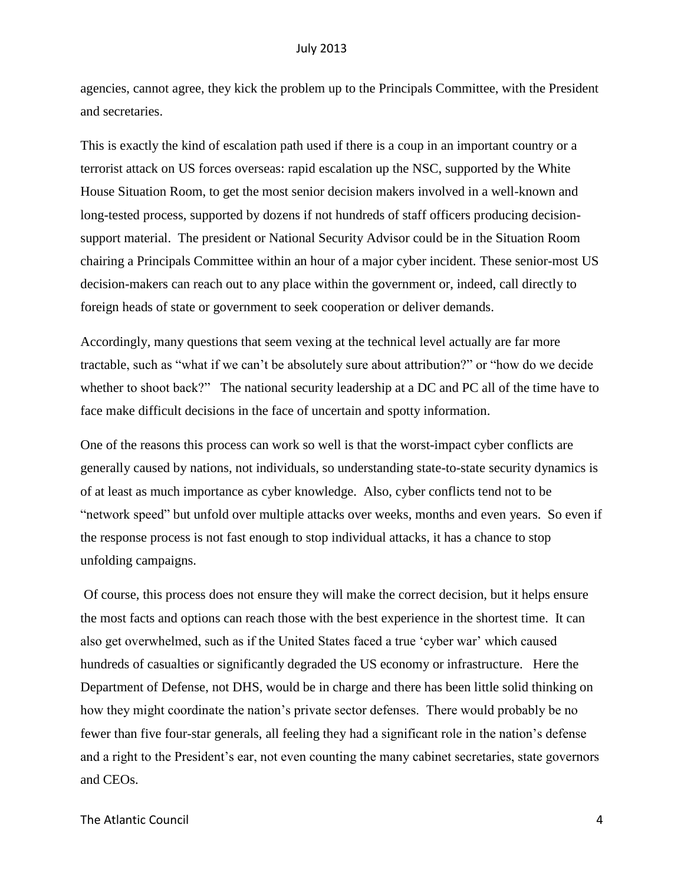agencies, cannot agree, they kick the problem up to the Principals Committee, with the President and secretaries.

This is exactly the kind of escalation path used if there is a coup in an important country or a terrorist attack on US forces overseas: rapid escalation up the NSC, supported by the White House Situation Room, to get the most senior decision makers involved in a well-known and long-tested process, supported by dozens if not hundreds of staff officers producing decisionsupport material. The president or National Security Advisor could be in the Situation Room chairing a Principals Committee within an hour of a major cyber incident. These senior-most US decision-makers can reach out to any place within the government or, indeed, call directly to foreign heads of state or government to seek cooperation or deliver demands.

Accordingly, many questions that seem vexing at the technical level actually are far more tractable, such as "what if we can't be absolutely sure about attribution?" or "how do we decide whether to shoot back?" The national security leadership at a DC and PC all of the time have to face make difficult decisions in the face of uncertain and spotty information.

One of the reasons this process can work so well is that the worst-impact cyber conflicts are generally caused by nations, not individuals, so understanding state-to-state security dynamics is of at least as much importance as cyber knowledge. Also, cyber conflicts tend not to be "network speed" but unfold over multiple attacks over weeks, months and even years. So even if the response process is not fast enough to stop individual attacks, it has a chance to stop unfolding campaigns.

Of course, this process does not ensure they will make the correct decision, but it helps ensure the most facts and options can reach those with the best experience in the shortest time. It can also get overwhelmed, such as if the United States faced a true 'cyber war' which caused hundreds of casualties or significantly degraded the US economy or infrastructure. Here the Department of Defense, not DHS, would be in charge and there has been little solid thinking on how they might coordinate the nation's private sector defenses. There would probably be no fewer than five four-star generals, all feeling they had a significant role in the nation's defense and a right to the President's ear, not even counting the many cabinet secretaries, state governors and CEOs.